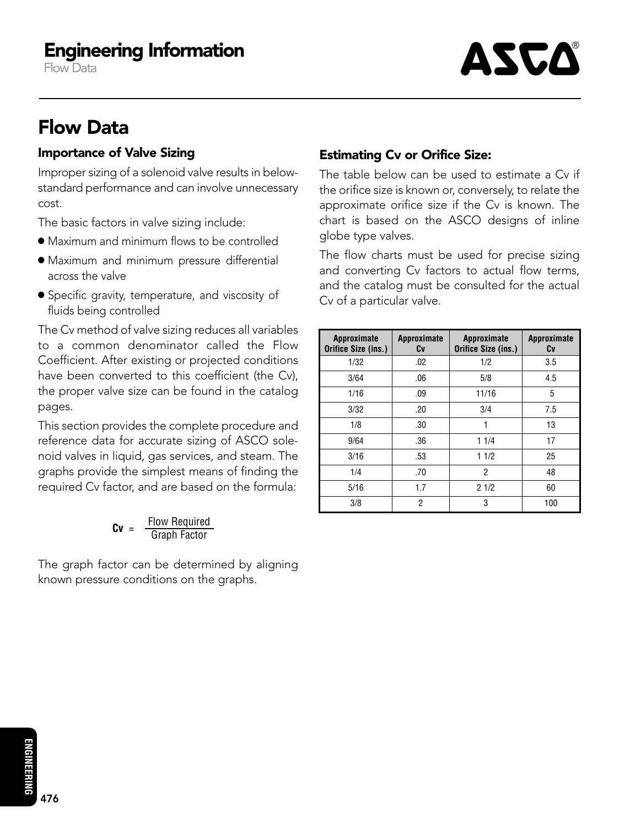# Engineering Information

Flow Data

# ASCA

# Flow Data

## Importance of Valve Sizing

Improper sizing of a solenoid valve results in belowstandard performance and can involve unnecessary cost.

The basic factors in valve sizing include:

- Maximum and minimum flows to be controlled
- Maximum and minimum pressure differential across the valve
- Specific gravity, temperature, and viscosity of fluids being controlled

The Cv method of valve sizing reduces all variables to a common denominator called the Flow Coefficient. After existing or projected conditions have been converted to this coefficient (the Cv), the proper valve size can be found in the catalog pages.

This section provides the complete procedure and reference data for accurate sizing of ASCO solenoid valves in liquid, gas services, and steam. The graphs provide the simplest means of finding the required Cv factor, and are based on the formula:

$$
Cv = \frac{Flow Required}{Graph Factor}
$$

The graph factor can be determined by aligning known pressure conditions on the graphs.

# Estimating Cv or Orifice Size:

The table below can be used to estimate a Cv if the orifice size is known or, conversely, to relate the approximate orifice size if the Cv is known. The chart is based on the ASCO designs of inline globe type valves.

The flow charts must be used for precise sizing and converting Cv factors to actual flow terms, and the catalog must be consulted for the actual Cv of a particular valve.

| <b>Approximate</b><br>Orifice Size (ins.) | Approximate<br>Cv | Approximate<br>Orifice Size (ins.) | Approximate<br>Cv |
|-------------------------------------------|-------------------|------------------------------------|-------------------|
| 1/32                                      | .02               | 1/2                                | 3.5               |
| 3/64                                      | .06               | 5/8                                | 4.5               |
| 1/16                                      | .09               | 11/16                              | 5                 |
| 3/32                                      | .20               | 3/4                                | 7.5               |
| 1/8                                       | .30               | 1                                  | 13                |
| 9/64                                      | .36               | 11/4                               | 17                |
| 3/16                                      | .53               | 11/2                               | 25                |
| 1/4                                       | .70               | 2                                  | 48                |
| 5/16                                      | 1.7               | 21/2                               | 60                |
| 3/8                                       | 2                 | 3                                  | 100               |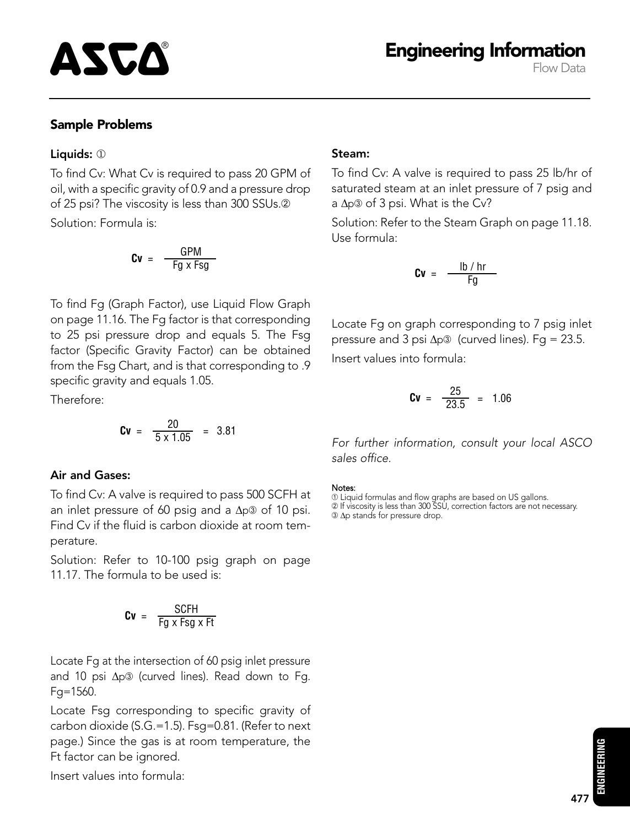Flow Data

## Sample Problems

#### Liquids: ①

To find Cv: What Cv is required to pass 20 GPM of oil, with a specific gravity of 0.9 and a pressure drop of 25 psi? The viscosity is less than 300 SSUs.<sup>2</sup> Solution: Formula is:

$$
Cv = \frac{GPM}{Fg \times Fsg}
$$

To find Fg (Graph Factor), use Liquid Flow Graph on page 11.16. The Fg factor is that corresponding to 25 psi pressure drop and equals 5. The Fsg factor (Specific Gravity Factor) can be obtained from the Fsg Chart, and is that corresponding to .9 specific gravity and equals 1.05.

Therefore:

$$
Cv = \frac{20}{5 \times 1.05} = 3.81
$$

#### Air and Gases:

To find Cv: A valve is required to pass 500 SCFH at an inlet pressure of 60 psig and a ∆p➂ of 10 psi. Find Cv if the fluid is carbon dioxide at room temperature.

Solution: Refer to 10-100 psig graph on page 11.17. The formula to be used is:

$$
Cv = \frac{SCFH}{Fg \times Fsg \times Ft}
$$

Locate Fg at the intersection of 60 psig inlet pressure and 10 psi ∆p® (curved lines). Read down to Fg. Fg=1560.

Locate Fsg corresponding to specific gravity of carbon dioxide (S.G.=1.5). Fsg=0.81. (Refer to next page.) Since the gas is at room temperature, the Ft factor can be ignored.

Insert values into formula:

#### Steam:

To find Cv: A valve is required to pass 25 lb/hr of saturated steam at an inlet pressure of 7 psig and a ∆p➂ of 3 psi. What is the Cv?

Solution: Refer to the Steam Graph on page 11.18. Use formula:

$$
Cv = \frac{\text{lb}/\text{hr}}{\text{Fg}}
$$

Locate Fg on graph corresponding to 7 psig inlet pressure and 3 psi Δp③ (curved lines). Fg = 23.5. Insert values into formula:

$$
Cv = \frac{25}{23.5} = 1.06
$$

For further information, consult your local ASCO sales office.

Notes:

➀ Liquid formulas and flow graphs are based on US gallons.

➁ If viscosity is less than 300 SSU, correction factors are not necessary. ➂ ∆p stands for pressure drop.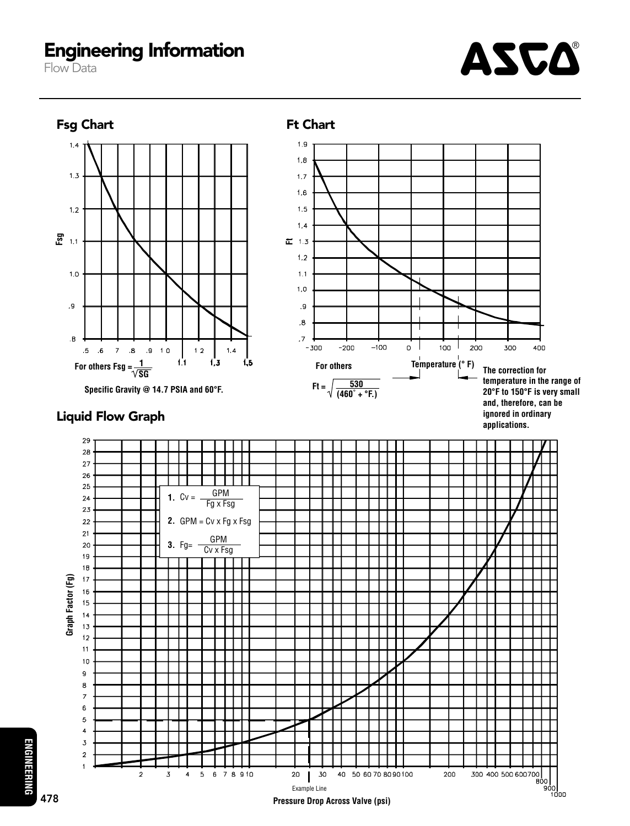# Engineering Information

Flow Data



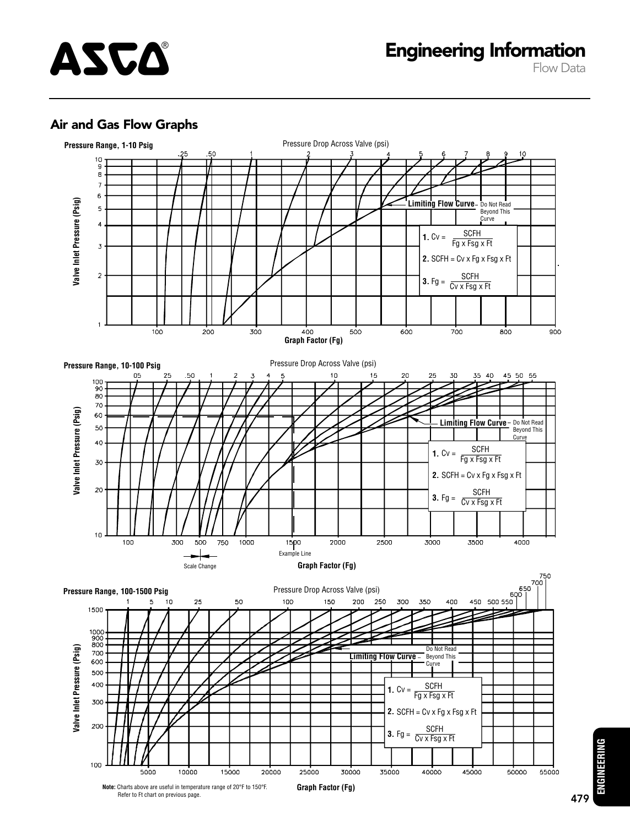

### Air and Gas Flow Graphs



**ENGINEERING ENGINEERING**